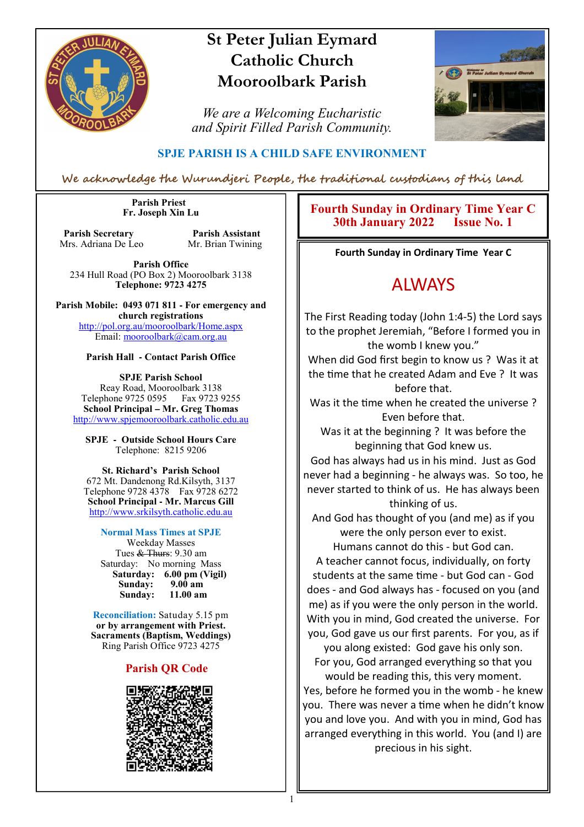

# **St Peter Julian Eymard Catholic Church Mooroolbark Parish**

*We are a Welcoming Eucharistic and Spirit Filled Parish Community.*



#### **SPJE PARISH IS A CHILD SAFE ENVIRONMENT**

We acknowledge the Wurundjeri People, the traditional custodians of this land

 **Parish Priest Fr. Joseph Xin Lu** 

**Parish Secretary Parish Assistant**<br>Mrs. Adriana De Leo Mr. Brian Twining Mrs. Adriana De Leo

**Parish Office** 234 Hull Road (PO Box 2) Mooroolbark 3138 **Telephone: 9723 4275** 

**Parish Mobile: 0493 071 811 - For emergency and church registrations** http://pol.org.au/mooroolbark/Home.aspx Email: mooroolbark@cam.org.au

#### **Parish Hall - Contact Parish Office**

**SPJE Parish School** Reay Road, Mooroolbark 3138 Telephone 9725 0595 Fax 9723 9255 **School Principal – Mr. Greg Thomas** http://www.spjemooroolbark.catholic.edu.au

**SPJE - Outside School Hours Care** Telephone: 8215 9206

#### **St. Richard's Parish School**

672 Mt. Dandenong Rd.Kilsyth, 3137 Telephone 9728 4378 Fax 9728 6272 **School Principal - Mr. Marcus Gill** http://www.srkilsyth.catholic.edu.au

#### **Normal Mass Times at SPJE**

Weekday Masses Tues & Thurs: 9.30 am Saturday: No morning Mass  **Saturday: 6.00 pm (Vigil) Sunday: 9.00 am** Sunday:

**Reconciliation:** Satuday 5.15 pm **or by arrangement with Priest. Sacraments (Baptism, Weddings)**  Ring Parish Office 9723 4275

#### **Parish QR Code**



#### **Fourth Sunday in Ordinary Time Year C 30th January 2022 Issue No. 1**

**Fourth Sunday in Ordinary Time Year C** 

# ALWAYS

The First Reading today (John 1:4-5) the Lord says to the prophet Jeremiah, "Before I formed you in the womb I knew you."

When did God first begin to know us ? Was it at the time that he created Adam and Eve ? It was before that.

Was it the time when he created the universe ? Even before that.

Was it at the beginning ? It was before the beginning that God knew us.

God has always had us in his mind. Just as God never had a beginning - he always was. So too, he never started to think of us. He has always been thinking of us.

And God has thought of you (and me) as if you were the only person ever to exist.

Humans cannot do this - but God can. A teacher cannot focus, individually, on forty students at the same time - but God can - God does - and God always has - focused on you (and me) as if you were the only person in the world. With you in mind, God created the universe. For you, God gave us our first parents. For you, as if

you along existed: God gave his only son. For you, God arranged everything so that you would be reading this, this very moment. Yes, before he formed you in the womb - he knew you. There was never a time when he didn't know you and love you. And with you in mind, God has arranged everything in this world. You (and I) are precious in his sight.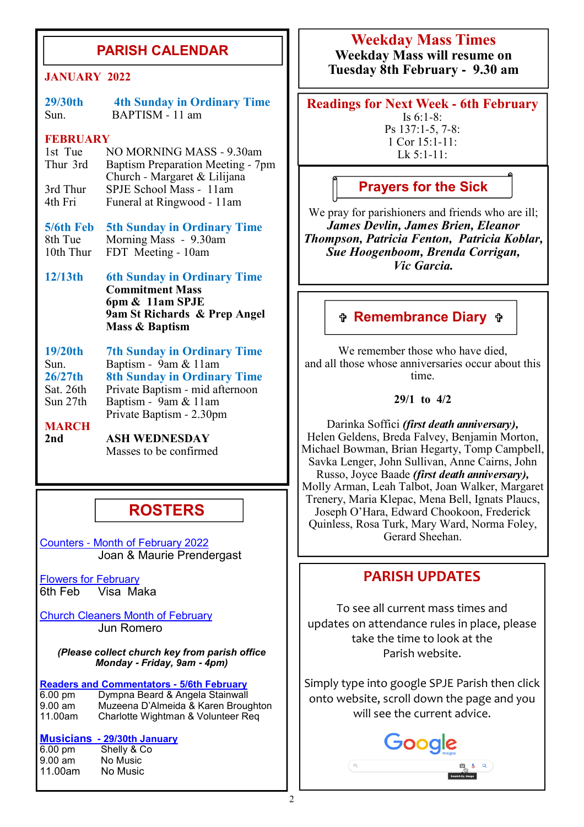### **PARISH CALENDAR**

**29/30th 4th Sunday in Ordinary Time** Sun. BAPTISM - 11 am

#### **FEBRUARY**

1st Tue NO MORNING MASS - 9.30am<br>Thur 3rd Baptism Preparation Meeting - 7r Baptism Preparation Meeting - 7pm Church - Margaret & Lilijana<br>3rd Thur SPJE School Mass - 11am 3rd Thur SPJE School Mass - 11am<br>4th Fri Funeral at Rinowood - 11an 4th FriFuneral at Ringwood - 11am

**5/6th Feb 5th Sunday in Ordinary Time** 8th Tue Morning Mass - 9.30am<br>10th Thur FDT Meeting - 10am FDT Meeting - 10am

**12/13th 6th Sunday in Ordinary Time Commitment Mass 6pm & 11am SPJE 9am St Richards & Prep Angel Mass & Baptism**

**19/20th 7th Sunday in Ordinary Time** Sun. **Baptism** - 9am & 11am **26/27th 8th Sunday in Ordinary Time** Sat. 26th Private Baptism - mid afternoon Baptism - 9am & 11am Private Baptism - 2.30pm

# **MARCH**<br>2nd

**2nd ASH WEDNESDAY** Masses to be confirmed

### **ROSTERS**

Counters - Month of February 2022 Joan & Maurie Prendergast

Flowers for February 6th Feb Visa Maka

Church Cleaners Month of February Jun Romero

*(Please collect church key from parish office Monday* **-** *Friday, 9am* **-** *4pm)*

**Readers and Commentators - 5/6th February** 6.00 pm Dympna Beard & Angela Stainwall 9.00 am Muzeena D'Almeida & Karen Broughton<br>11.00am Charlotte Wightman & Volunteer Reg Charlotte Wightman & Volunteer Req

# **Musicians - 29/30th January**<br>6.00 pm<br>**Shelly & Co**

6.00 pm Shelly & Co<br>9.00 am No Music No Music 11.00am No Music

## **Weekday Mass Times**

**Weekday Mass will resume on Tuesday 8th February - 9.30 am JANUARY 2022**

> **Readings for Next Week - 6th February** Is 6:1-8: Ps 137:1-5, 7-8: 1 Cor 15:1-11:

> > Lk 5:1-11:

**Prayers for the Sick**

We pray for parishioners and friends who are ill; *James Devlin, James Brien, Eleanor Thompson, Patricia Fenton, Patricia Koblar, Sue Hoogenboom, Brenda Corrigan, Vic Garcia.*

#### **Remembrance Diary**

We remember those who have died. and all those whose anniversaries occur about this time.

**29/1 to 4/2**

Darinka Soffici *(first death anniversary),*  Helen Geldens, Breda Falvey, Benjamin Morton, Michael Bowman, Brian Hegarty, Tomp Campbell, Savka Lenger, John Sullivan, Anne Cairns, John Russo, Joyce Baade *(first death anniversary),*  Molly Arman, Leah Talbot, Joan Walker, Margaret Trenery, Maria Klepac, Mena Bell, Ignats Plaucs, Joseph O'Hara, Edward Chookoon, Frederick Quinless, Rosa Turk, Mary Ward, Norma Foley, Gerard Sheehan.

### **PARISH UPDATES**

To see all current mass times and updates on attendance rules in place, please take the time to look at the Parish website.

Simply type into google SPJE Parish then click onto website, scroll down the page and you will see the current advice.